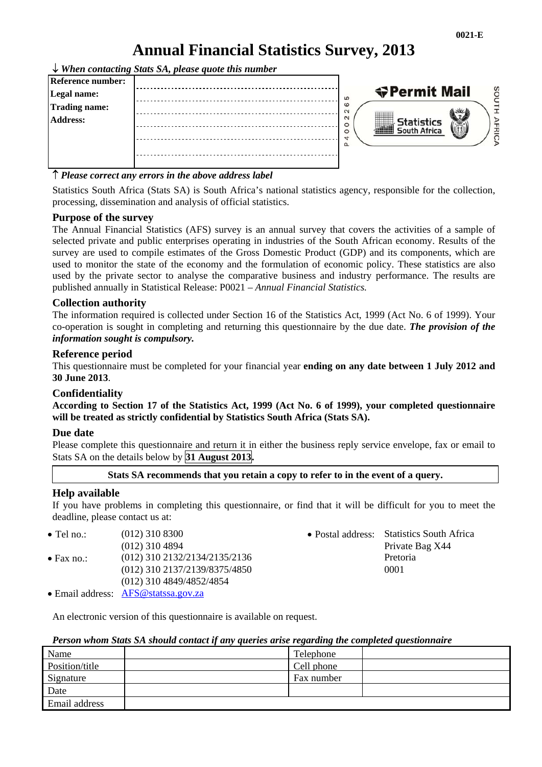# **Annual Financial Statistics Survey, 2013**

*When contacting Stats SA, please quote this number* 

| <b>Reference number:</b><br>Legal name:<br>Trading name:<br><b>Address:</b> | 5<br>စ<br>$\sim$<br>$\sim$<br>O<br>O<br>₩<br>Δ. | <b>◆Permit Mail</b><br>Statistics<br>South Africa | 类 | SO |
|-----------------------------------------------------------------------------|-------------------------------------------------|---------------------------------------------------|---|----|
|                                                                             |                                                 |                                                   |   |    |

#### *Please correct any errors in the above address label*

Statistics South Africa (Stats SA) is South Africa's national statistics agency, responsible for the collection, processing, dissemination and analysis of official statistics.

#### **Purpose of the survey**

The Annual Financial Statistics (AFS) survey is an annual survey that covers the activities of a sample of selected private and public enterprises operating in industries of the South African economy. Results of the survey are used to compile estimates of the Gross Domestic Product (GDP) and its components, which are used to monitor the state of the economy and the formulation of economic policy. These statistics are also used by the private sector to analyse the comparative business and industry performance. The results are published annually in Statistical Release: P0021 – *Annual Financial Statistics.* 

#### **Collection authority**

The information required is collected under Section 16 of the Statistics Act, 1999 (Act No. 6 of 1999). Your co-operation is sought in completing and returning this questionnaire by the due date. *The provision of the information sought is compulsory.*

#### **Reference period**

This questionnaire must be completed for your financial year **ending on any date between 1 July 2012 and 30 June 2013**.

#### **Confidentiality**

**According to Section 17 of the Statistics Act, 1999 (Act No. 6 of 1999), your completed questionnaire will be treated as strictly confidential by Statistics South Africa (Stats SA).** 

#### **Due date**

Please complete this questionnaire and return it in either the business reply service envelope, fax or email to Stats SA on the details below by **31 August 2013.** 

#### **Stats SA recommends that you retain a copy to refer to in the event of a query.**

#### **Help available**

If you have problems in completing this questionnaire, or find that it will be difficult for you to meet the deadline, please contact us at:

- Tel no.: (012) 310 8300 Postal address: Statistics South Africa Private Bag X44 • Fax no.: (012) 310 2132/2134/2135/2136 Pretoria (012) 310 2137/2139/8375/4850 0001 (012) 310 4849/4852/4854
- Email address: AFS@statssa.gov.za

An electronic version of this questionnaire is available on request.

#### *Person whom Stats SA should contact if any queries arise regarding the completed questionnaire*

| Name           | Telephone  |  |
|----------------|------------|--|
| Position/title | Cell phone |  |
| Signature      | Fax number |  |
| Date           |            |  |
| Email address  |            |  |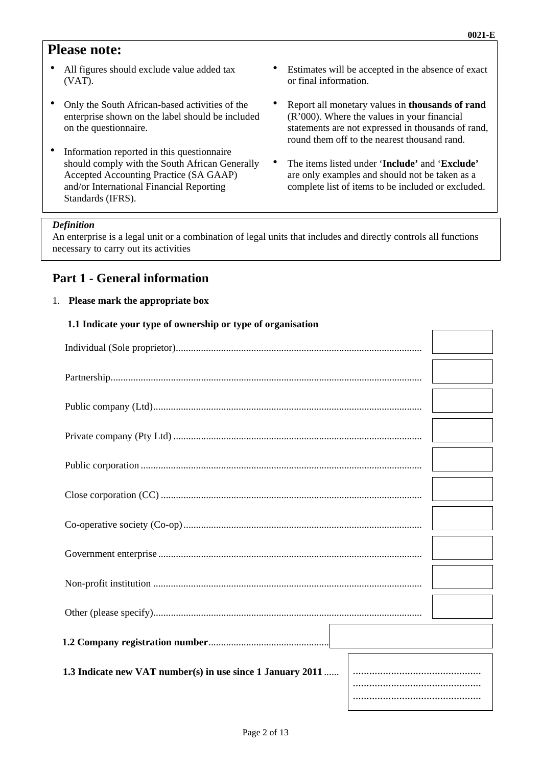# **Please note:**

- All figures should exclude value added tax (VAT).
- Only the South African-based activities of the enterprise shown on the label should be included on the questionnaire.
- Information reported in this questionnaire should comply with the South African Generally Accepted Accounting Practice (SA GAAP) and/or International Financial Reporting Standards (IFRS).
- Estimates will be accepted in the absence of exact or final information.
- Report all monetary values in **thousands of rand** (R'000). Where the values in your financial statements are not expressed in thousands of rand, round them off to the nearest thousand rand.
- The items listed under '**Include'** and '**Exclude'** are only examples and should not be taken as a complete list of items to be included or excluded.

#### *Definition*

An enterprise is a legal unit or a combination of legal units that includes and directly controls all functions necessary to carry out its activities

### **Part 1 - General information**

#### 1. **Please mark the appropriate box**

#### **1.1 Indicate your type of ownership or type of organisation**

| 1.3 Indicate new VAT number(s) in use since 1 January 2011 |  |
|------------------------------------------------------------|--|
|                                                            |  |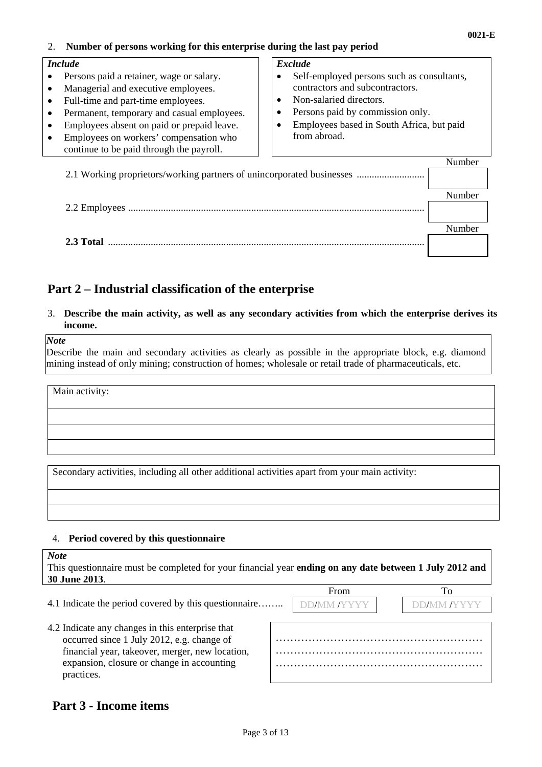#### 2. **Number of persons working for this enterprise during the last pay period**

#### *Include*

- Persons paid a retainer, wage or salary.
- Managerial and executive employees.
- Full-time and part-time employees.
- Permanent, temporary and casual employees.
- Employees absent on paid or prepaid leave.
- Employees on workers' compensation who continue to be paid through the payroll.

#### *Exclude*

- Self-employed persons such as consultants, contractors and subcontractors.
- Non-salaried directors.
- Persons paid by commission only.
- Employees based in South Africa, but paid from abroad.

| 2.1 Working proprietors/working partners of unincorporated businesses |        |
|-----------------------------------------------------------------------|--------|
|                                                                       |        |
|                                                                       | Vumber |
|                                                                       |        |
|                                                                       |        |
|                                                                       |        |
|                                                                       |        |
|                                                                       |        |

# **Part 2 – Industrial classification of the enterprise**

3. **Describe the main activity, as well as any secondary activities from which the enterprise derives its income.** 

#### *Note*

Describe the main and secondary activities as clearly as possible in the appropriate block, e.g. diamond mining instead of only mining; construction of homes; wholesale or retail trade of pharmaceuticals, etc.

Main activity:

Secondary activities, including all other additional activities apart from your main activity:

#### 4. **Period covered by this questionnaire**

| <b>Note</b><br>This questionnaire must be completed for your financial year ending on any date between 1 July 2012 and<br>30 June 2013.                                                                       |  |      |    |  |
|---------------------------------------------------------------------------------------------------------------------------------------------------------------------------------------------------------------|--|------|----|--|
|                                                                                                                                                                                                               |  | From | Τò |  |
| 4.1 Indicate the period covered by this question aire                                                                                                                                                         |  |      |    |  |
| 4.2 Indicate any changes in this enterprise that<br>occurred since 1 July 2012, e.g. change of<br>financial year, takeover, merger, new location,<br>expansion, closure or change in accounting<br>practices. |  |      |    |  |

### **Part 3 - Income items**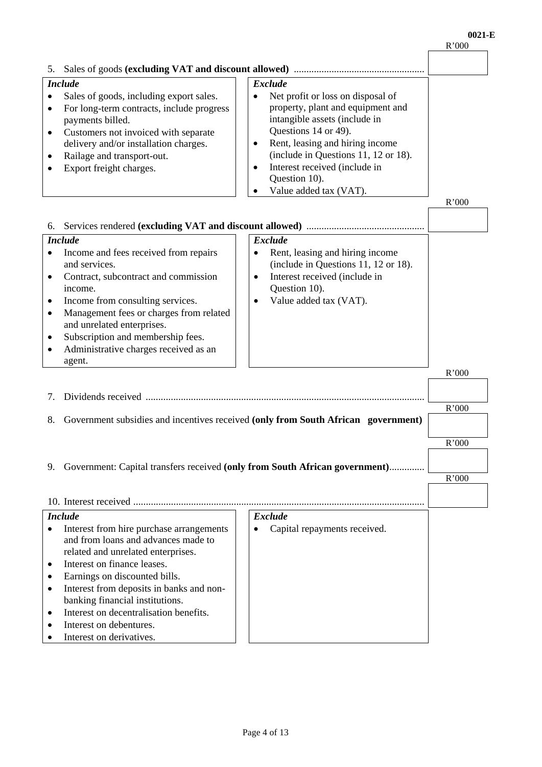|                                                                                                                                                                                                                                                                                                                                          |                                                                                                                                                                                                                         | 11 vvv |
|------------------------------------------------------------------------------------------------------------------------------------------------------------------------------------------------------------------------------------------------------------------------------------------------------------------------------------------|-------------------------------------------------------------------------------------------------------------------------------------------------------------------------------------------------------------------------|--------|
|                                                                                                                                                                                                                                                                                                                                          |                                                                                                                                                                                                                         |        |
| <b>Include</b>                                                                                                                                                                                                                                                                                                                           | <b>Exclude</b>                                                                                                                                                                                                          |        |
| Sales of goods, including export sales.<br>$\bullet$<br>For long-term contracts, include progress<br>$\bullet$<br>payments billed.<br>Customers not invoiced with separate<br>٠<br>delivery and/or installation charges.<br>Railage and transport-out.                                                                                   | Net profit or loss on disposal of<br>$\bullet$<br>property, plant and equipment and<br>intangible assets (include in<br>Questions 14 or 49).<br>Rent, leasing and hiring income<br>(include in Questions 11, 12 or 18). |        |
| Export freight charges.                                                                                                                                                                                                                                                                                                                  | Interest received (include in<br>Question 10).<br>Value added tax (VAT).                                                                                                                                                |        |
|                                                                                                                                                                                                                                                                                                                                          |                                                                                                                                                                                                                         | R'000  |
| 6.                                                                                                                                                                                                                                                                                                                                       |                                                                                                                                                                                                                         |        |
| <b>Include</b>                                                                                                                                                                                                                                                                                                                           | <b>Exclude</b>                                                                                                                                                                                                          |        |
| Income and fees received from repairs<br>٠<br>and services.<br>Contract, subcontract and commission<br>$\bullet$<br>income.<br>Income from consulting services.<br>٠<br>Management fees or charges from related<br>$\bullet$<br>and unrelated enterprises.<br>Subscription and membership fees.<br>Administrative charges received as an | Rent, leasing and hiring income<br>$\bullet$<br>(include in Questions 11, 12 or 18).<br>Interest received (include in<br>$\bullet$<br>Question 10).<br>Value added tax (VAT).                                           |        |
| agent.                                                                                                                                                                                                                                                                                                                                   |                                                                                                                                                                                                                         |        |
|                                                                                                                                                                                                                                                                                                                                          |                                                                                                                                                                                                                         | R'000  |
| 7.                                                                                                                                                                                                                                                                                                                                       |                                                                                                                                                                                                                         |        |
|                                                                                                                                                                                                                                                                                                                                          |                                                                                                                                                                                                                         | R'000  |
| 8.                                                                                                                                                                                                                                                                                                                                       | Government subsidies and incentives received (only from South African government)                                                                                                                                       |        |
|                                                                                                                                                                                                                                                                                                                                          |                                                                                                                                                                                                                         |        |
|                                                                                                                                                                                                                                                                                                                                          |                                                                                                                                                                                                                         | R'000  |
| 9. Government: Capital transfers received (only from South African government)                                                                                                                                                                                                                                                           |                                                                                                                                                                                                                         |        |
|                                                                                                                                                                                                                                                                                                                                          |                                                                                                                                                                                                                         | R'000  |
|                                                                                                                                                                                                                                                                                                                                          |                                                                                                                                                                                                                         |        |
|                                                                                                                                                                                                                                                                                                                                          |                                                                                                                                                                                                                         |        |
| <b>Include</b>                                                                                                                                                                                                                                                                                                                           | <b>Exclude</b>                                                                                                                                                                                                          |        |
| Interest from hire purchase arrangements<br>٠<br>and from loans and advances made to<br>related and unrelated enterprises.<br>Interest on finance leases.<br>٠                                                                                                                                                                           | Capital repayments received.                                                                                                                                                                                            |        |
| Earnings on discounted bills.<br>Interest from deposits in banks and non-<br>٠<br>banking financial institutions.                                                                                                                                                                                                                        |                                                                                                                                                                                                                         |        |
| Interest on decentralisation benefits.<br>Interest on debentures.<br>Interest on derivatives.                                                                                                                                                                                                                                            |                                                                                                                                                                                                                         |        |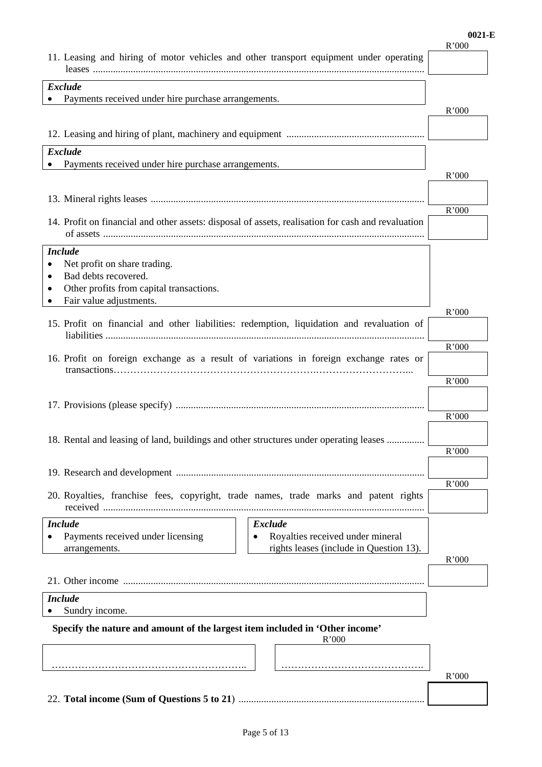#### **0021-E**

|                                                                                                                                                | R'000 |
|------------------------------------------------------------------------------------------------------------------------------------------------|-------|
| 11. Leasing and hiring of motor vehicles and other transport equipment under operating                                                         |       |
|                                                                                                                                                |       |
| <b>Exclude</b>                                                                                                                                 |       |
| Payments received under hire purchase arrangements.                                                                                            | R'000 |
|                                                                                                                                                |       |
|                                                                                                                                                |       |
| <b>Exclude</b>                                                                                                                                 |       |
| Payments received under hire purchase arrangements.                                                                                            |       |
|                                                                                                                                                | R'000 |
|                                                                                                                                                |       |
|                                                                                                                                                | R'000 |
| 14. Profit on financial and other assets: disposal of assets, realisation for cash and revaluation                                             |       |
|                                                                                                                                                |       |
| <b>Include</b>                                                                                                                                 |       |
| Net profit on share trading.<br>Bad debts recovered.                                                                                           |       |
| Other profits from capital transactions.                                                                                                       |       |
| Fair value adjustments.                                                                                                                        |       |
|                                                                                                                                                | R'000 |
| 15. Profit on financial and other liabilities: redemption, liquidation and revaluation of                                                      |       |
|                                                                                                                                                | R'000 |
| 16. Profit on foreign exchange as a result of variations in foreign exchange rates or                                                          |       |
|                                                                                                                                                | R'000 |
|                                                                                                                                                |       |
|                                                                                                                                                |       |
|                                                                                                                                                | R'000 |
| 18. Rental and leasing of land, buildings and other structures under operating leases                                                          |       |
|                                                                                                                                                | R'000 |
|                                                                                                                                                |       |
|                                                                                                                                                | R'000 |
| 20. Royalties, franchise fees, copyright, trade names, trade marks and patent rights                                                           |       |
|                                                                                                                                                |       |
| <b>Include</b><br><b>Exclude</b>                                                                                                               |       |
| Royalties received under mineral<br>Payments received under licensing<br>$\bullet$<br>rights leases (include in Question 13).<br>arrangements. |       |
|                                                                                                                                                | R'000 |
|                                                                                                                                                |       |
|                                                                                                                                                |       |
| <b>Include</b>                                                                                                                                 |       |
| Sundry income.                                                                                                                                 |       |
| Specify the nature and amount of the largest item included in 'Other income'<br>R'000                                                          |       |
|                                                                                                                                                |       |
|                                                                                                                                                |       |
|                                                                                                                                                | R'000 |
|                                                                                                                                                |       |
|                                                                                                                                                |       |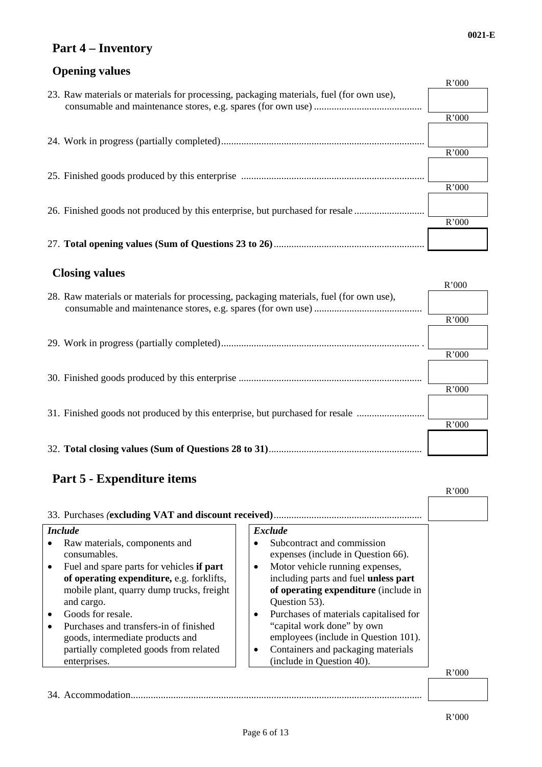# **Part 4 – Inventory**

# **Opening values**

|  |                                                                                         | R'000 |
|--|-----------------------------------------------------------------------------------------|-------|
|  | 23. Raw materials or materials for processing, packaging materials, fuel (for own use), |       |
|  |                                                                                         |       |
|  |                                                                                         | R'000 |
|  |                                                                                         |       |
|  |                                                                                         |       |
|  |                                                                                         | R'000 |
|  |                                                                                         |       |
|  |                                                                                         |       |
|  |                                                                                         | R'000 |
|  |                                                                                         |       |
|  | 26. Finished goods not produced by this enterprise, but purchased for resale            |       |
|  |                                                                                         | R'000 |
|  |                                                                                         |       |
|  |                                                                                         |       |
|  |                                                                                         |       |

### **Closing values**

|                                                                                         | R'000 |
|-----------------------------------------------------------------------------------------|-------|
| 28. Raw materials or materials for processing, packaging materials, fuel (for own use), |       |
|                                                                                         | R'000 |
|                                                                                         |       |
|                                                                                         | R'000 |
|                                                                                         |       |
|                                                                                         | R'000 |
| 31. Finished goods not produced by this enterprise, but purchased for resale            |       |
|                                                                                         | R'000 |
|                                                                                         |       |

# **Part 5 - Expenditure items**

|                                                                                                                                                                         |                                                                                                                                                                                                                            | R'000 |
|-------------------------------------------------------------------------------------------------------------------------------------------------------------------------|----------------------------------------------------------------------------------------------------------------------------------------------------------------------------------------------------------------------------|-------|
|                                                                                                                                                                         |                                                                                                                                                                                                                            |       |
| <i>Include</i>                                                                                                                                                          | <b>Exclude</b>                                                                                                                                                                                                             |       |
| Raw materials, components and<br>consumables.                                                                                                                           | Subcontract and commission<br>expenses (include in Question 66).                                                                                                                                                           |       |
| Fuel and spare parts for vehicles if part<br>of operating expenditure, e.g. forklifts,<br>mobile plant, quarry dump trucks, freight                                     | Motor vehicle running expenses,<br>$\bullet$<br>including parts and fuel <b>unless part</b><br>of operating expenditure (include in                                                                                        |       |
| and cargo.<br>Goods for resale.<br>Purchases and transfers-in of finished<br>goods, intermediate products and<br>partially completed goods from related<br>enterprises. | Question 53).<br>Purchases of materials capitalised for<br>$\bullet$<br>"capital work done" by own<br>employees (include in Question 101).<br>Containers and packaging materials<br>$\bullet$<br>(include in Question 40). |       |
|                                                                                                                                                                         |                                                                                                                                                                                                                            | R'000 |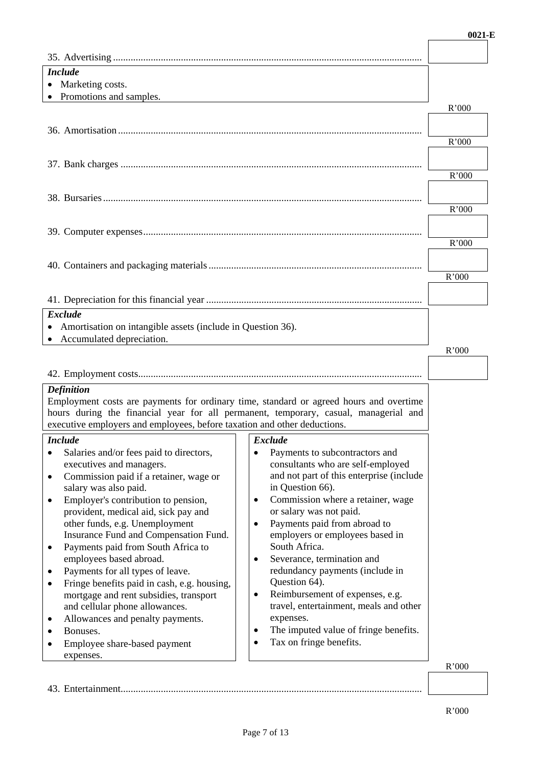| <b>Include</b>                                                                         |                                                    |       |
|----------------------------------------------------------------------------------------|----------------------------------------------------|-------|
| • Marketing costs.                                                                     |                                                    |       |
| • Promotions and samples.                                                              |                                                    |       |
|                                                                                        |                                                    | R'000 |
|                                                                                        |                                                    |       |
|                                                                                        |                                                    | R'000 |
|                                                                                        |                                                    |       |
|                                                                                        |                                                    |       |
|                                                                                        |                                                    | R'000 |
|                                                                                        |                                                    |       |
|                                                                                        |                                                    |       |
|                                                                                        |                                                    | R'000 |
|                                                                                        |                                                    |       |
|                                                                                        |                                                    |       |
|                                                                                        |                                                    | R'000 |
|                                                                                        |                                                    |       |
|                                                                                        |                                                    | R'000 |
|                                                                                        |                                                    |       |
|                                                                                        |                                                    |       |
| <b>Exclude</b>                                                                         |                                                    |       |
| Amortisation on intangible assets (include in Question 36).                            |                                                    |       |
| • Accumulated depreciation.                                                            |                                                    |       |
|                                                                                        |                                                    | R'000 |
|                                                                                        |                                                    |       |
|                                                                                        |                                                    |       |
| <b>Definition</b>                                                                      |                                                    |       |
| Employment costs are payments for ordinary time, standard or agreed hours and overtime |                                                    |       |
| hours during the financial year for all permanent, temporary, casual, managerial and   |                                                    |       |
| executive employers and employees, before taxation and other deductions.               |                                                    |       |
| <b>Include</b>                                                                         | <b>Exclude</b>                                     |       |
| Salaries and/or fees paid to directors,                                                | Payments to subcontractors and                     |       |
| executives and managers.                                                               | consultants who are self-employed                  |       |
| Commission paid if a retainer, wage or<br>$\bullet$                                    | and not part of this enterprise (include           |       |
| salary was also paid.                                                                  | in Question 66).                                   |       |
| Employer's contribution to pension,<br>٠                                               | Commission where a retainer, wage<br>$\bullet$     |       |
| provident, medical aid, sick pay and                                                   | or salary was not paid.                            |       |
| other funds, e.g. Unemployment                                                         | Payments paid from abroad to<br>$\bullet$          |       |
| Insurance Fund and Compensation Fund.                                                  | employers or employees based in                    |       |
| Payments paid from South Africa to<br>٠                                                |                                                    |       |
|                                                                                        | South Africa.                                      |       |
| employees based abroad.                                                                | Severance, termination and<br>$\bullet$            |       |
| Payments for all types of leave.                                                       | redundancy payments (include in                    |       |
| Fringe benefits paid in cash, e.g. housing,<br>$\bullet$                               | Question 64).                                      |       |
| mortgage and rent subsidies, transport                                                 | Reimbursement of expenses, e.g.<br>$\bullet$       |       |
| and cellular phone allowances.                                                         | travel, entertainment, meals and other             |       |
| Allowances and penalty payments.<br>٠                                                  | expenses.                                          |       |
| Bonuses.                                                                               | The imputed value of fringe benefits.<br>$\bullet$ |       |
| Employee share-based payment                                                           | Tax on fringe benefits.                            |       |
| expenses.                                                                              |                                                    | R'000 |

43. Entertainment........................................................................................................................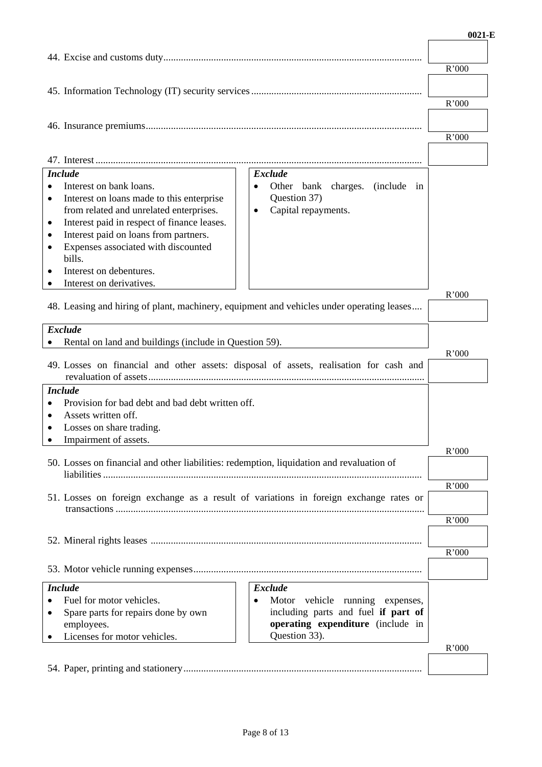|           |                                                                                           |                                                    | R'000 |
|-----------|-------------------------------------------------------------------------------------------|----------------------------------------------------|-------|
|           |                                                                                           |                                                    |       |
|           |                                                                                           |                                                    | R'000 |
|           |                                                                                           |                                                    |       |
|           |                                                                                           |                                                    | R'000 |
|           |                                                                                           |                                                    |       |
|           |                                                                                           |                                                    |       |
|           | <b>Include</b>                                                                            | <b>Exclude</b>                                     |       |
|           | Interest on bank loans.<br>Interest on loans made to this enterprise                      | Other bank charges. (include in<br>Question 37)    |       |
|           | from related and unrelated enterprises.                                                   | Capital repayments.<br>$\bullet$                   |       |
| ٠         | Interest paid in respect of finance leases.                                               |                                                    |       |
| ٠         | Interest paid on loans from partners.                                                     |                                                    |       |
| ٠         | Expenses associated with discounted                                                       |                                                    |       |
|           | bills.                                                                                    |                                                    |       |
|           | Interest on debentures.<br>Interest on derivatives.                                       |                                                    |       |
|           |                                                                                           |                                                    | R'000 |
|           | 48. Leasing and hiring of plant, machinery, equipment and vehicles under operating leases |                                                    |       |
|           | <b>Exclude</b>                                                                            |                                                    |       |
|           | Rental on land and buildings (include in Question 59).                                    |                                                    |       |
|           | 49. Losses on financial and other assets: disposal of assets, realisation for cash and    |                                                    | R'000 |
|           | <b>Include</b>                                                                            |                                                    |       |
| $\bullet$ | Provision for bad debt and bad debt written off.                                          |                                                    |       |
| $\bullet$ | Assets written off.                                                                       |                                                    |       |
|           | Losses on share trading.                                                                  |                                                    |       |
| ٠         | Impairment of assets.                                                                     |                                                    | R'000 |
|           | 50. Losses on financial and other liabilities: redemption, liquidation and revaluation of |                                                    |       |
|           |                                                                                           |                                                    |       |
|           | 51. Losses on foreign exchange as a result of variations in foreign exchange rates or     |                                                    | R'000 |
|           |                                                                                           |                                                    |       |
|           |                                                                                           |                                                    | R'000 |
|           |                                                                                           |                                                    |       |
|           |                                                                                           |                                                    | R'000 |
|           |                                                                                           |                                                    |       |
|           | <b>Include</b>                                                                            | <b>Exclude</b>                                     |       |
|           | Fuel for motor vehicles.                                                                  | Motor vehicle running expenses,<br>$\bullet$       |       |
|           | Spare parts for repairs done by own                                                       | including parts and fuel if part of                |       |
|           | employees.<br>Licenses for motor vehicles.                                                | operating expenditure (include in<br>Question 33). |       |
|           |                                                                                           |                                                    | R'000 |
|           |                                                                                           |                                                    |       |
|           |                                                                                           |                                                    |       |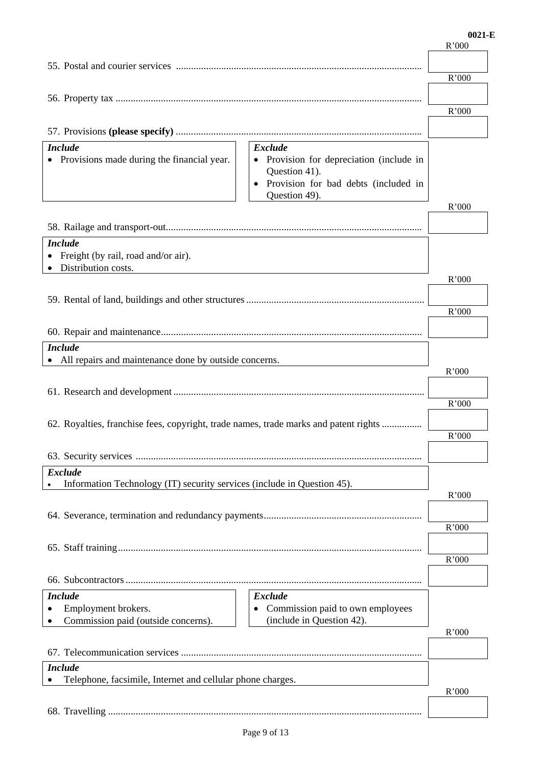### R'000 55. Postal and courier services .................................................................................................. R'000 56. Property tax .......................................................................................................................... R'000 57. Provisions **(please specify)** .................................................................................................. *Include* • Provisions made during the financial year. *Exclude*  • Provision for depreciation (include in Question 41). Provision for bad debts (included in Question 49). R'000 58. Railage and transport-out ...................................................................................................... *Include* • Freight (by rail, road and/or air). • Distribution costs. R'000 59. Rental of land, buildings and other structures ....................................................................... R'000 60. Repair and maintenance ........................................................................................................ *Include* All repairs and maintenance done by outside concerns. R'000 61. Research and development .................................................................................................... R'000 62. Royalties, franchise fees, copyright, trade names, trade marks and patent rights ................ R'000 63. Security services .................................................................................................................. *Exclude* Information Technology (IT) security services (include in Question 45). R'000 64. Severance, termination and redundancy payments ...............................................................  $\overline{R'000}$ 65. Staff training ......................................................................................................................... R'000 66. Subcontractors ...................................................................................................................... *Include* Employment brokers. Commission paid (outside concerns). *Exclude* • Commission paid to own employees (include in Question 42). R'000 67. Telecommunication services ................................................................................................ *Include* Telephone, facsimile, Internet and cellular phone charges. R'000 68. Travelling .............................................................................................................................

#### **0021-E**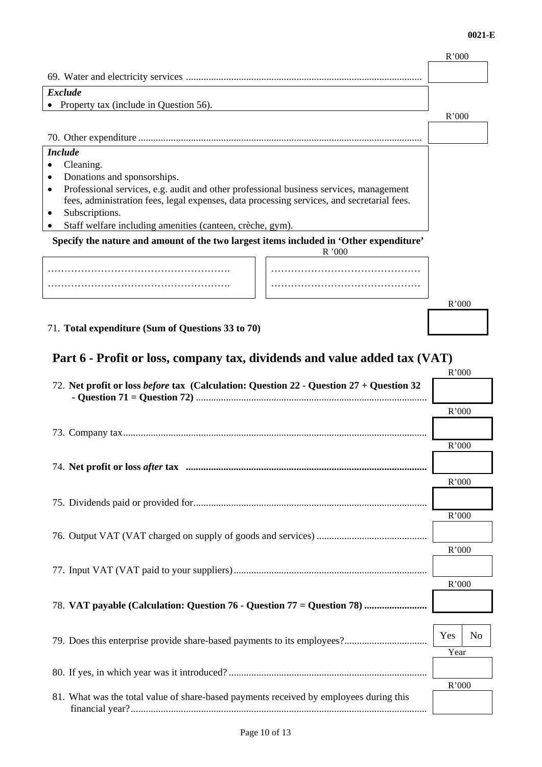R'000

| <b>Exclude</b>                                                                                      |               |       |                |
|-----------------------------------------------------------------------------------------------------|---------------|-------|----------------|
| Property tax (include in Question 56).                                                              |               |       |                |
|                                                                                                     |               | R'000 |                |
|                                                                                                     |               |       |                |
| <b>Include</b>                                                                                      |               |       |                |
| Cleaning.                                                                                           |               |       |                |
| Donations and sponsorships.                                                                         |               |       |                |
| Professional services, e.g. audit and other professional business services, management<br>$\bullet$ |               |       |                |
| fees, administration fees, legal expenses, data processing services, and secretarial fees.          |               |       |                |
| Subscriptions.<br>Staff welfare including amenities (canteen, crèche, gym).                         |               |       |                |
|                                                                                                     |               |       |                |
| Specify the nature and amount of the two largest items included in 'Other expenditure'              | R'000         |       |                |
|                                                                                                     |               |       |                |
|                                                                                                     |               |       |                |
|                                                                                                     |               |       |                |
|                                                                                                     |               | R'000 |                |
|                                                                                                     |               |       |                |
| 71. Total expenditure (Sum of Questions 33 to 70)                                                   |               |       |                |
|                                                                                                     |               |       |                |
| Part 6 - Profit or loss, company tax, dividends and value added tax (VAT)                           |               |       |                |
|                                                                                                     |               | R'000 |                |
| 72. Net profit or loss before tax (Calculation: Question 22 - Question 27 + Question 32             |               |       |                |
|                                                                                                     |               | R'000 |                |
|                                                                                                     |               |       |                |
|                                                                                                     |               |       |                |
|                                                                                                     |               | R'000 |                |
|                                                                                                     |               |       |                |
|                                                                                                     |               | R'000 |                |
|                                                                                                     |               |       |                |
|                                                                                                     |               |       |                |
|                                                                                                     |               | R'000 |                |
|                                                                                                     |               |       |                |
|                                                                                                     |               | R'000 |                |
|                                                                                                     |               |       |                |
|                                                                                                     |               |       |                |
|                                                                                                     |               | R'000 |                |
| 78. VAT payable (Calculation: Question 76 - Question 77 = Question 78)                              |               |       |                |
|                                                                                                     |               |       |                |
|                                                                                                     |               | Yes   | N <sub>o</sub> |
|                                                                                                     |               | Year  |                |
|                                                                                                     |               |       |                |
|                                                                                                     |               |       |                |
| 81. What was the total value of share-based payments received by employees during this              |               | R'000 |                |
|                                                                                                     |               |       |                |
|                                                                                                     |               |       |                |
|                                                                                                     | Page 10 of 13 |       |                |

69. Water and electricity services ..............................................................................................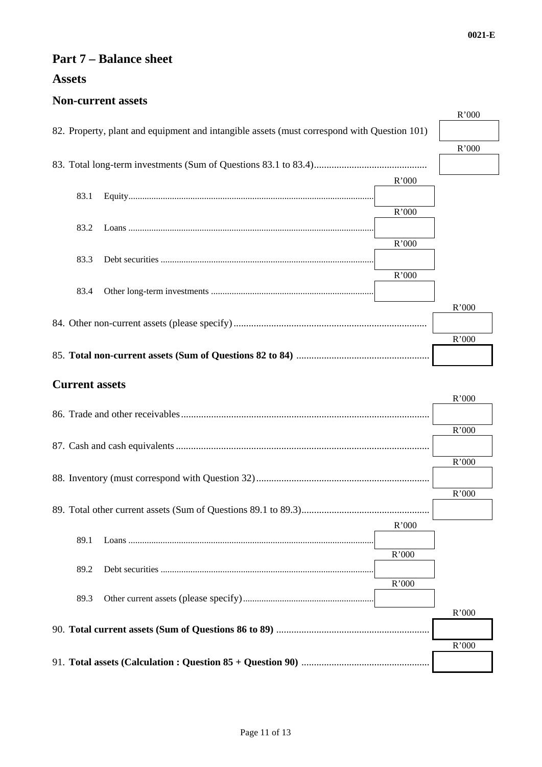## **Part 7 – Balance sheet**

# **Assets**

### **Non-current assets**

|                                                                                             |       | R'000 |
|---------------------------------------------------------------------------------------------|-------|-------|
| 82. Property, plant and equipment and intangible assets (must correspond with Question 101) |       |       |
|                                                                                             |       |       |
|                                                                                             |       | R'000 |
|                                                                                             |       |       |
|                                                                                             | R'000 |       |
|                                                                                             |       |       |
| 83.1                                                                                        |       |       |
|                                                                                             | R'000 |       |
| 83.2                                                                                        |       |       |
|                                                                                             | R'000 |       |
|                                                                                             |       |       |
| 83.3                                                                                        |       |       |
|                                                                                             | R'000 |       |
| 83.4                                                                                        |       |       |
|                                                                                             |       | R'000 |
|                                                                                             |       |       |
|                                                                                             |       |       |
|                                                                                             |       | R'000 |
|                                                                                             |       |       |
|                                                                                             |       |       |
| <b>Current assets</b>                                                                       |       |       |
|                                                                                             |       | R'000 |
|                                                                                             |       |       |
|                                                                                             |       |       |
|                                                                                             |       | R'000 |
|                                                                                             |       |       |
|                                                                                             |       | R'000 |
|                                                                                             |       |       |
|                                                                                             |       |       |
|                                                                                             |       | R'000 |
|                                                                                             |       |       |
|                                                                                             | R'000 |       |
| 89.1                                                                                        |       |       |
|                                                                                             | R'000 |       |
|                                                                                             |       |       |
| 89.2                                                                                        |       |       |
|                                                                                             | R'000 |       |
| 89.3                                                                                        |       |       |
|                                                                                             |       | R'000 |
|                                                                                             |       |       |
|                                                                                             |       |       |
|                                                                                             |       | R'000 |
|                                                                                             |       |       |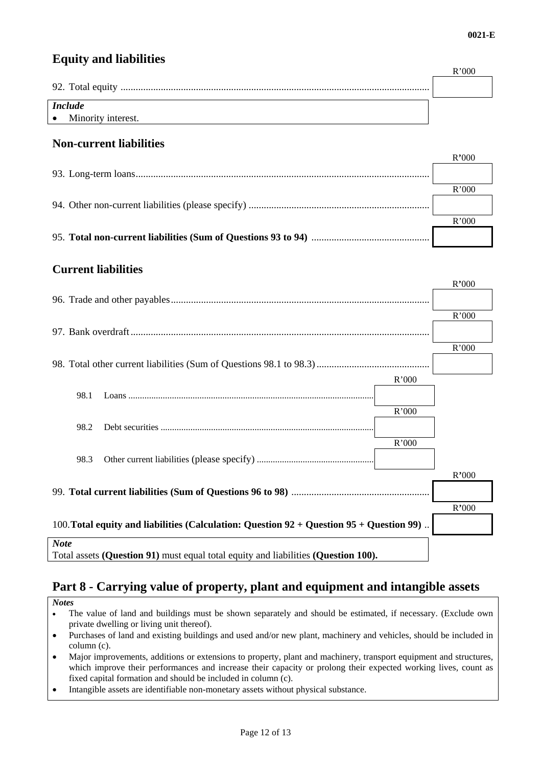## **Equity and liabilities**

|                      | ${\rm R^2000}$ |
|----------------------|----------------|
|                      |                |
|                      |                |
| <b>Include</b>       |                |
| • Minority interest. |                |

### **Non-current liabilities**

| R'000 |
|-------|
|       |
| R'000 |
|       |
| R'000 |
|       |

### **Current liabilities**

|                                                                                                 | R'000 |  |
|-------------------------------------------------------------------------------------------------|-------|--|
|                                                                                                 |       |  |
|                                                                                                 | R'000 |  |
|                                                                                                 |       |  |
|                                                                                                 | R'000 |  |
|                                                                                                 |       |  |
| R'000                                                                                           |       |  |
| 98.1                                                                                            |       |  |
| R'000                                                                                           |       |  |
| 98.2                                                                                            |       |  |
| R'000                                                                                           |       |  |
| 98.3                                                                                            |       |  |
|                                                                                                 | R'000 |  |
|                                                                                                 |       |  |
|                                                                                                 | R'000 |  |
| 100. Total equity and liabilities (Calculation: Question $92 +$ Question $95 +$ Question $99$ ) |       |  |
| <b>Note</b>                                                                                     |       |  |
| Total assets (Question 91) must equal total equity and liabilities (Question 100).              |       |  |

# **Part 8 - Carrying value of property, plant and equipment and intangible assets**

- *Notes*
- The value of land and buildings must be shown separately and should be estimated, if necessary. (Exclude own private dwelling or living unit thereof).
- Purchases of land and existing buildings and used and/or new plant, machinery and vehicles, should be included in column (c).
- Major improvements, additions or extensions to property, plant and machinery, transport equipment and structures, which improve their performances and increase their capacity or prolong their expected working lives, count as fixed capital formation and should be included in column (c).
- Intangible assets are identifiable non-monetary assets without physical substance.